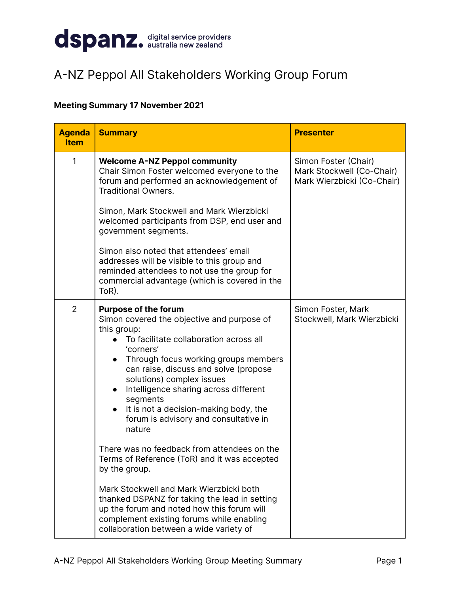

## A-NZ Peppol All Stakeholders Working Group Forum

## **Meeting Summary 17 November 2021**

| <b>Agenda</b><br><b>Item</b> | <b>Summary</b>                                                                                                                                                                                                                                                                                                                                                                                                                                                                                                                                                                                                                                                                                     | <b>Presenter</b>                                                                |
|------------------------------|----------------------------------------------------------------------------------------------------------------------------------------------------------------------------------------------------------------------------------------------------------------------------------------------------------------------------------------------------------------------------------------------------------------------------------------------------------------------------------------------------------------------------------------------------------------------------------------------------------------------------------------------------------------------------------------------------|---------------------------------------------------------------------------------|
| 1                            | <b>Welcome A-NZ Peppol community</b><br>Chair Simon Foster welcomed everyone to the<br>forum and performed an acknowledgement of<br><b>Traditional Owners.</b><br>Simon, Mark Stockwell and Mark Wierzbicki                                                                                                                                                                                                                                                                                                                                                                                                                                                                                        | Simon Foster (Chair)<br>Mark Stockwell (Co-Chair)<br>Mark Wierzbicki (Co-Chair) |
|                              | welcomed participants from DSP, end user and<br>government segments.<br>Simon also noted that attendees' email<br>addresses will be visible to this group and<br>reminded attendees to not use the group for<br>commercial advantage (which is covered in the<br>ToR).                                                                                                                                                                                                                                                                                                                                                                                                                             |                                                                                 |
| $\overline{2}$               | <b>Purpose of the forum</b><br>Simon covered the objective and purpose of<br>this group:<br>To facilitate collaboration across all<br>'corners'<br>Through focus working groups members<br>can raise, discuss and solve (propose<br>solutions) complex issues<br>Intelligence sharing across different<br>$\bullet$<br>segments<br>It is not a decision-making body, the<br>$\bullet$<br>forum is advisory and consultative in<br>nature<br>There was no feedback from attendees on the<br>Terms of Reference (ToR) and it was accepted<br>by the group.<br>Mark Stockwell and Mark Wierzbicki both<br>thanked DSPANZ for taking the lead in setting<br>up the forum and noted how this forum will | Simon Foster, Mark<br>Stockwell, Mark Wierzbicki                                |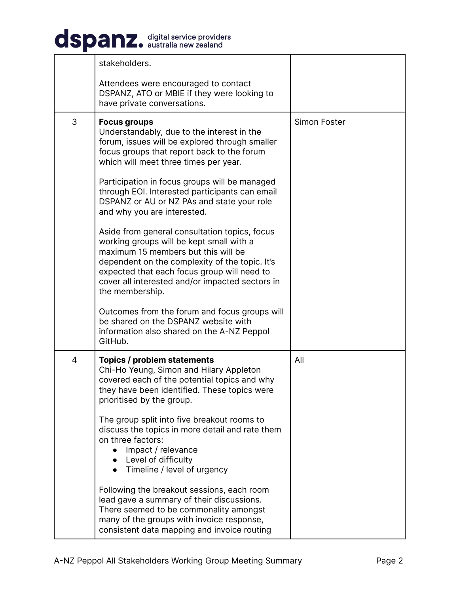## dspanz. digital service providers

|   | stakeholders.                                                                                                                                                                                                                                                                                           |              |
|---|---------------------------------------------------------------------------------------------------------------------------------------------------------------------------------------------------------------------------------------------------------------------------------------------------------|--------------|
|   | Attendees were encouraged to contact<br>DSPANZ, ATO or MBIE if they were looking to<br>have private conversations.                                                                                                                                                                                      |              |
| 3 | <b>Focus groups</b><br>Understandably, due to the interest in the<br>forum, issues will be explored through smaller<br>focus groups that report back to the forum<br>which will meet three times per year.                                                                                              | Simon Foster |
|   | Participation in focus groups will be managed<br>through EOI. Interested participants can email<br>DSPANZ or AU or NZ PAs and state your role<br>and why you are interested.                                                                                                                            |              |
|   | Aside from general consultation topics, focus<br>working groups will be kept small with a<br>maximum 15 members but this will be<br>dependent on the complexity of the topic. It's<br>expected that each focus group will need to<br>cover all interested and/or impacted sectors in<br>the membership. |              |
|   | Outcomes from the forum and focus groups will<br>be shared on the DSPANZ website with<br>information also shared on the A-NZ Peppol<br>GitHub.                                                                                                                                                          |              |
| 4 | Topics / problem statements<br>Chi-Ho Yeung, Simon and Hilary Appleton<br>covered each of the potential topics and why<br>they have been identified. These topics were<br>prioritised by the group.                                                                                                     | All          |
|   | The group split into five breakout rooms to<br>discuss the topics in more detail and rate them<br>on three factors:<br>Impact / relevance<br>Level of difficulty<br>Timeline / level of urgency                                                                                                         |              |
|   | Following the breakout sessions, each room<br>lead gave a summary of their discussions.<br>There seemed to be commonality amongst<br>many of the groups with invoice response,<br>consistent data mapping and invoice routing                                                                           |              |